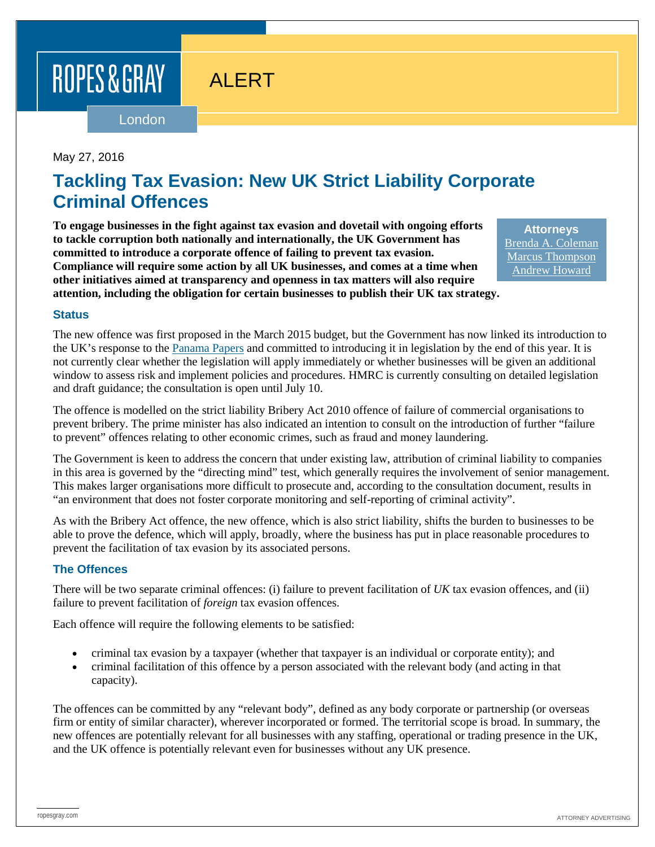# ROPES & GRAY

# ALERT

London

#### May 27, 2016

## **Tackling Tax Evasion: New UK Strict Liability Corporate Criminal Offences**

**To engage businesses in the fight against tax evasion and dovetail with ongoing efforts to tackle corruption both nationally and internationally, the UK Government has committed to introduce a corporate offence of failing to prevent tax evasion. Compliance will require some action by all UK businesses, and comes at a time when other initiatives aimed at transparency and openness in tax matters will also require attention, including the obligation for certain businesses to publish their UK tax strategy.**

**Attorneys** [Brenda A. Coleman](https://www.ropesgray.com/biographies/c/Brenda-Coleman.aspx) [Marcus Thompson](https://www.ropesgray.com/biographies/t/thompson-marcus.aspx) [Andrew Howard](https://www.ropesgray.com/biographies/h/Andrew-Howard.aspx)

#### **Status**

The new offence was first proposed in the March 2015 budget, but the Government has now linked its introduction to the UK's response to the [Panama Papers](https://www.ropesgray.com/newsroom/alerts/2016/May/NCA-and-HMRC-to-Lead-Taskforce-to-Investigate-the-Panama-Papers.aspx) and committed to introducing it in legislation by the end of this year. It is not currently clear whether the legislation will apply immediately or whether businesses will be given an additional window to assess risk and implement policies and procedures. HMRC is currently consulting on detailed legislation and draft guidance; the consultation is open until July 10.

The offence is modelled on the strict liability Bribery Act 2010 offence of failure of commercial organisations to prevent bribery. The prime minister has also indicated an intention to consult on the introduction of further "failure to prevent" offences relating to other economic crimes, such as fraud and money laundering.

The Government is keen to address the concern that under existing law, attribution of criminal liability to companies in this area is governed by the "directing mind" test, which generally requires the involvement of senior management. This makes larger organisations more difficult to prosecute and, according to the consultation document, results in "an environment that does not foster corporate monitoring and self-reporting of criminal activity".

As with the Bribery Act offence, the new offence, which is also strict liability, shifts the burden to businesses to be able to prove the defence, which will apply, broadly, where the business has put in place reasonable procedures to prevent the facilitation of tax evasion by its associated persons.

#### **The Offences**

There will be two separate criminal offences: (i) failure to prevent facilitation of *UK* tax evasion offences, and (ii) failure to prevent facilitation of *foreign* tax evasion offences.

Each offence will require the following elements to be satisfied:

- criminal tax evasion by a taxpayer (whether that taxpayer is an individual or corporate entity); and
- criminal facilitation of this offence by a person associated with the relevant body (and acting in that capacity).

The offences can be committed by any "relevant body", defined as any body corporate or partnership (or overseas firm or entity of similar character), wherever incorporated or formed. The territorial scope is broad. In summary, the new offences are potentially relevant for all businesses with any staffing, operational or trading presence in the UK, and the UK offence is potentially relevant even for businesses without any UK presence.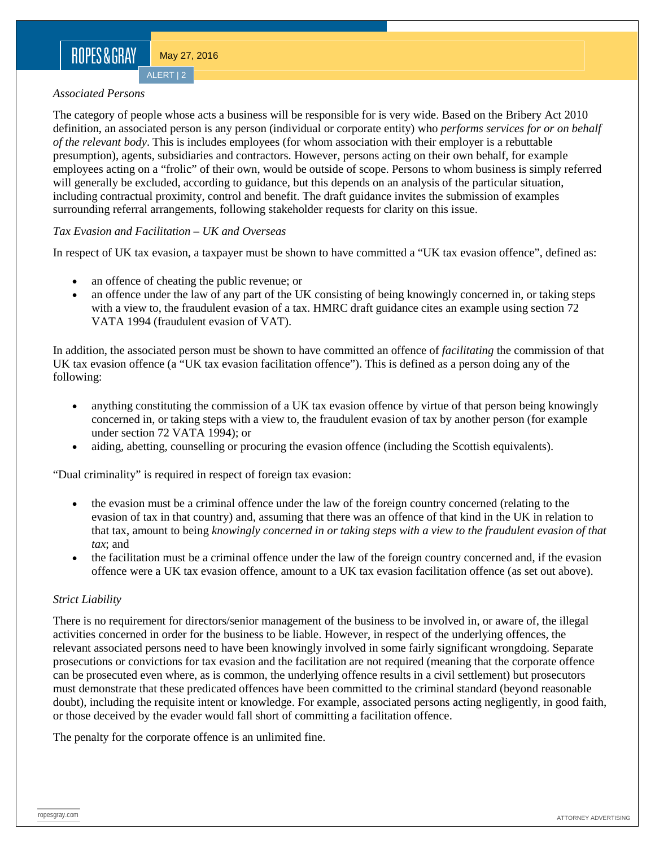ALERT | 2

#### *Associated Persons*

The category of people whose acts a business will be responsible for is very wide. Based on the Bribery Act 2010 definition, an associated person is any person (individual or corporate entity) who *performs services for or on behalf of the relevant body*. This is includes employees (for whom association with their employer is a rebuttable presumption), agents, subsidiaries and contractors. However, persons acting on their own behalf, for example employees acting on a "frolic" of their own, would be outside of scope. Persons to whom business is simply referred will generally be excluded, according to guidance, but this depends on an analysis of the particular situation, including contractual proximity, control and benefit. The draft guidance invites the submission of examples surrounding referral arrangements, following stakeholder requests for clarity on this issue.

#### *Tax Evasion and Facilitation – UK and Overseas*

In respect of UK tax evasion, a taxpayer must be shown to have committed a "UK tax evasion offence", defined as:

- an offence of cheating the public revenue; or
- an offence under the law of any part of the UK consisting of being knowingly concerned in, or taking steps with a view to, the fraudulent evasion of a tax. HMRC draft guidance cites an example using section 72 VATA 1994 (fraudulent evasion of VAT).

In addition, the associated person must be shown to have committed an offence of *facilitating* the commission of that UK tax evasion offence (a "UK tax evasion facilitation offence"). This is defined as a person doing any of the following:

- anything constituting the commission of a UK tax evasion offence by virtue of that person being knowingly concerned in, or taking steps with a view to, the fraudulent evasion of tax by another person (for example under section 72 VATA 1994); or
- aiding, abetting, counselling or procuring the evasion offence (including the Scottish equivalents).

"Dual criminality" is required in respect of foreign tax evasion:

- the evasion must be a criminal offence under the law of the foreign country concerned (relating to the evasion of tax in that country) and, assuming that there was an offence of that kind in the UK in relation to that tax, amount to being *knowingly concerned in or taking steps with a view to the fraudulent evasion of that tax*; and
- the facilitation must be a criminal offence under the law of the foreign country concerned and, if the evasion offence were a UK tax evasion offence, amount to a UK tax evasion facilitation offence (as set out above).

#### *Strict Liability*

There is no requirement for directors/senior management of the business to be involved in, or aware of, the illegal activities concerned in order for the business to be liable. However, in respect of the underlying offences, the relevant associated persons need to have been knowingly involved in some fairly significant wrongdoing. Separate prosecutions or convictions for tax evasion and the facilitation are not required (meaning that the corporate offence can be prosecuted even where, as is common, the underlying offence results in a civil settlement) but prosecutors must demonstrate that these predicated offences have been committed to the criminal standard (beyond reasonable doubt), including the requisite intent or knowledge. For example, associated persons acting negligently, in good faith, or those deceived by the evader would fall short of committing a facilitation offence.

The penalty for the corporate offence is an unlimited fine.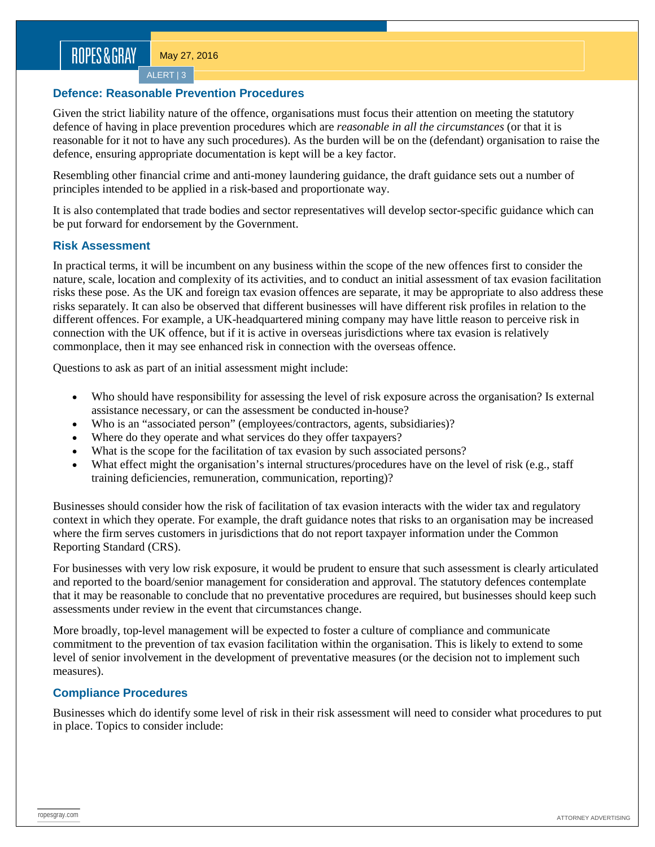ALERT | 3

#### **Defence: Reasonable Prevention Procedures**

Given the strict liability nature of the offence, organisations must focus their attention on meeting the statutory defence of having in place prevention procedures which are *reasonable in all the circumstances* (or that it is reasonable for it not to have any such procedures). As the burden will be on the (defendant) organisation to raise the defence, ensuring appropriate documentation is kept will be a key factor.

Resembling other financial crime and anti-money laundering guidance, the draft guidance sets out a number of principles intended to be applied in a risk-based and proportionate way.

It is also contemplated that trade bodies and sector representatives will develop sector-specific guidance which can be put forward for endorsement by the Government.

#### **Risk Assessment**

In practical terms, it will be incumbent on any business within the scope of the new offences first to consider the nature, scale, location and complexity of its activities, and to conduct an initial assessment of tax evasion facilitation risks these pose. As the UK and foreign tax evasion offences are separate, it may be appropriate to also address these risks separately. It can also be observed that different businesses will have different risk profiles in relation to the different offences. For example, a UK-headquartered mining company may have little reason to perceive risk in connection with the UK offence, but if it is active in overseas jurisdictions where tax evasion is relatively commonplace, then it may see enhanced risk in connection with the overseas offence.

Questions to ask as part of an initial assessment might include:

- Who should have responsibility for assessing the level of risk exposure across the organisation? Is external assistance necessary, or can the assessment be conducted in-house?
- Who is an "associated person" (employees/contractors, agents, subsidiaries)?
- Where do they operate and what services do they offer taxpayers?
- What is the scope for the facilitation of tax evasion by such associated persons?
- What effect might the organisation's internal structures/procedures have on the level of risk (e.g., staff training deficiencies, remuneration, communication, reporting)?

Businesses should consider how the risk of facilitation of tax evasion interacts with the wider tax and regulatory context in which they operate. For example, the draft guidance notes that risks to an organisation may be increased where the firm serves customers in jurisdictions that do not report taxpayer information under the Common Reporting Standard (CRS).

For businesses with very low risk exposure, it would be prudent to ensure that such assessment is clearly articulated and reported to the board/senior management for consideration and approval. The statutory defences contemplate that it may be reasonable to conclude that no preventative procedures are required, but businesses should keep such assessments under review in the event that circumstances change.

More broadly, top-level management will be expected to foster a culture of compliance and communicate commitment to the prevention of tax evasion facilitation within the organisation. This is likely to extend to some level of senior involvement in the development of preventative measures (or the decision not to implement such measures).

#### **Compliance Procedures**

Businesses which do identify some level of risk in their risk assessment will need to consider what procedures to put in place. Topics to consider include: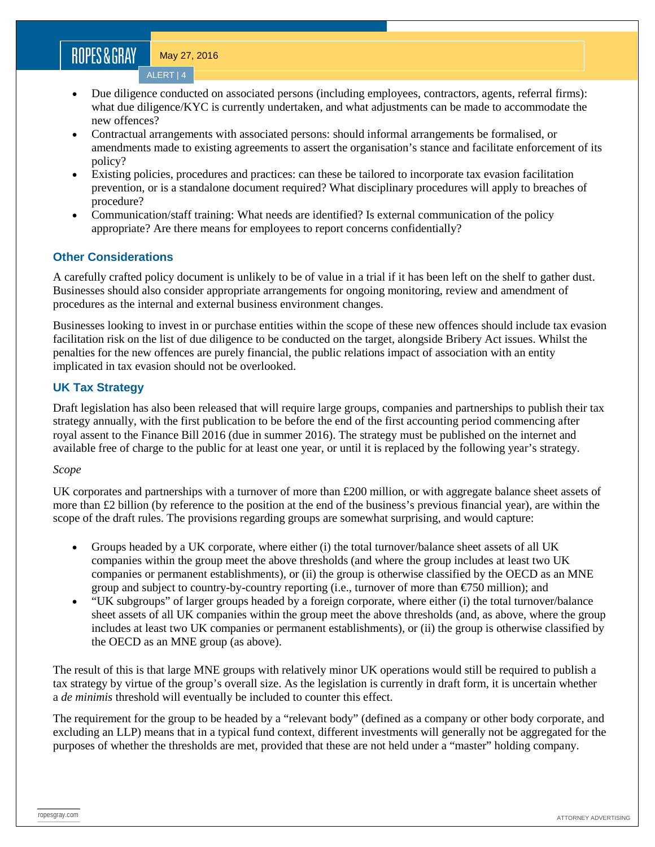# ROPES&GRAY

May 27, 2016

ALERT | 4

- Due diligence conducted on associated persons (including employees, contractors, agents, referral firms): what due diligence/KYC is currently undertaken, and what adjustments can be made to accommodate the new offences?
- Contractual arrangements with associated persons: should informal arrangements be formalised, or amendments made to existing agreements to assert the organisation's stance and facilitate enforcement of its policy?
- Existing policies, procedures and practices: can these be tailored to incorporate tax evasion facilitation prevention, or is a standalone document required? What disciplinary procedures will apply to breaches of procedure?
- Communication/staff training: What needs are identified? Is external communication of the policy appropriate? Are there means for employees to report concerns confidentially?

#### **Other Considerations**

A carefully crafted policy document is unlikely to be of value in a trial if it has been left on the shelf to gather dust. Businesses should also consider appropriate arrangements for ongoing monitoring, review and amendment of procedures as the internal and external business environment changes.

Businesses looking to invest in or purchase entities within the scope of these new offences should include tax evasion facilitation risk on the list of due diligence to be conducted on the target, alongside Bribery Act issues. Whilst the penalties for the new offences are purely financial, the public relations impact of association with an entity implicated in tax evasion should not be overlooked.

#### **UK Tax Strategy**

Draft legislation has also been released that will require large groups, companies and partnerships to publish their tax strategy annually, with the first publication to be before the end of the first accounting period commencing after royal assent to the Finance Bill 2016 (due in summer 2016). The strategy must be published on the internet and available free of charge to the public for at least one year, or until it is replaced by the following year's strategy.

#### *Scope*

UK corporates and partnerships with a turnover of more than £200 million, or with aggregate balance sheet assets of more than £2 billion (by reference to the position at the end of the business's previous financial year), are within the scope of the draft rules. The provisions regarding groups are somewhat surprising, and would capture:

- Groups headed by a UK corporate, where either (i) the total turnover/balance sheet assets of all UK companies within the group meet the above thresholds (and where the group includes at least two UK companies or permanent establishments), or (ii) the group is otherwise classified by the OECD as an MNE group and subject to country-by-country reporting (i.e., turnover of more than €750 million); and
- "UK subgroups" of larger groups headed by a foreign corporate, where either (i) the total turnover/balance sheet assets of all UK companies within the group meet the above thresholds (and, as above, where the group includes at least two UK companies or permanent establishments), or (ii) the group is otherwise classified by the OECD as an MNE group (as above).

The result of this is that large MNE groups with relatively minor UK operations would still be required to publish a tax strategy by virtue of the group's overall size. As the legislation is currently in draft form, it is uncertain whether a *de minimis* threshold will eventually be included to counter this effect.

The requirement for the group to be headed by a "relevant body" (defined as a company or other body corporate, and excluding an LLP) means that in a typical fund context, different investments will generally not be aggregated for the purposes of whether the thresholds are met, provided that these are not held under a "master" holding company.